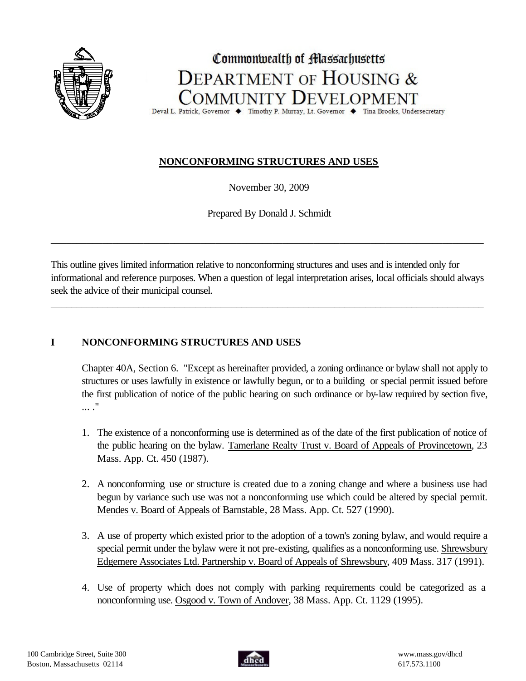

# Commonwealth of **Hassachusetts DEPARTMENT OF HOUSING & COMMUNITY DEVELOPMENT**

Deval L. Patrick, Governor ♦ Timothy P. Murray, Lt. Governor ♦ Tina Brooks, Undersecretary

## **NONCONFORMING STRUCTURES AND USES**

November 30, 2009

Prepared By Donald J. Schmidt

\_\_\_\_\_\_\_\_\_\_\_\_\_\_\_\_\_\_\_\_\_\_\_\_\_\_\_\_\_\_\_\_\_\_\_\_\_\_\_\_\_\_\_\_\_\_\_\_\_\_\_\_\_\_\_\_\_\_\_\_\_\_\_\_\_\_\_\_\_\_\_\_\_\_\_\_\_\_\_\_\_\_\_\_

This outline gives limited information relative to nonconforming structures and uses and is intended only for informational and reference purposes. When a question of legal interpretation arises, local officials should always seek the advice of their municipal counsel.

\_\_\_\_\_\_\_\_\_\_\_\_\_\_\_\_\_\_\_\_\_\_\_\_\_\_\_\_\_\_\_\_\_\_\_\_\_\_\_\_\_\_\_\_\_\_\_\_\_\_\_\_\_\_\_\_\_\_\_\_\_\_\_\_\_\_\_\_\_\_\_\_\_\_\_\_\_\_\_\_\_\_\_\_

# **I NONCONFORMING STRUCTURES AND USES**

Chapter 40A, Section 6. "Except as hereinafter provided, a zoning ordinance or bylaw shall not apply to structures or uses lawfully in existence or lawfully begun, or to a building or special permit issued before the first publication of notice of the public hearing on such ordinance or by-law required by section five, ... ."

- 1. The existence of a nonconforming use is determined as of the date of the first publication of notice of the public hearing on the bylaw. Tamerlane Realty Trust v. Board of Appeals of Provincetown, 23 Mass. App. Ct. 450 (1987).
- 2. A nonconforming use or structure is created due to a zoning change and where a business use had begun by variance such use was not a nonconforming use which could be altered by special permit. Mendes v. Board of Appeals of Barnstable, 28 Mass. App. Ct. 527 (1990).
- 3. A use of property which existed prior to the adoption of a town's zoning bylaw, and would require a special permit under the bylaw were it not pre-existing, qualifies as a nonconforming use. Shrewsbury Edgemere Associates Ltd. Partnership v. Board of Appeals of Shrewsbury, 409 Mass. 317 (1991).
- 4. Use of property which does not comply with parking requirements could be categorized as a nonconforming use. Osgood v. Town of Andover, 38 Mass. App. Ct. 1129 (1995).

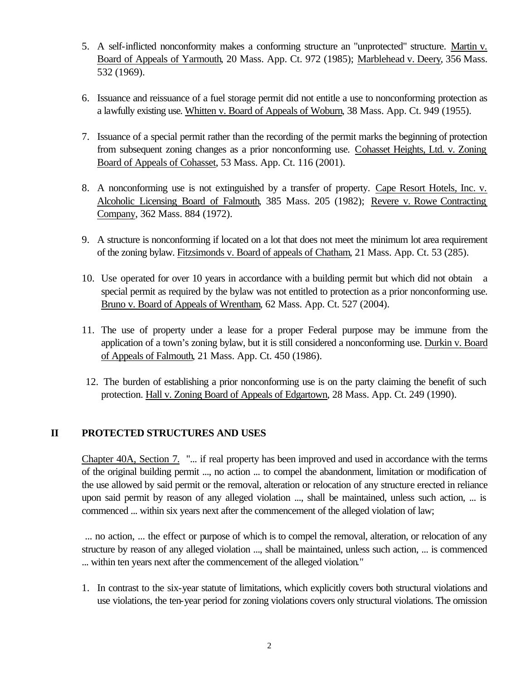- 5. A self-inflicted nonconformity makes a conforming structure an "unprotected" structure. Martin v. Board of Appeals of Yarmouth, 20 Mass. App. Ct. 972 (1985); Marblehead v. Deery, 356 Mass. 532 (1969).
- 6. Issuance and reissuance of a fuel storage permit did not entitle a use to nonconforming protection as a lawfully existing use. Whitten v. Board of Appeals of Woburn, 38 Mass. App. Ct. 949 (1955).
- 7. Issuance of a special permit rather than the recording of the permit marks the beginning of protection from subsequent zoning changes as a prior nonconforming use. Cohasset Heights, Ltd. v. Zoning Board of Appeals of Cohasset, 53 Mass. App. Ct. 116 (2001).
- 8. A nonconforming use is not extinguished by a transfer of property. Cape Resort Hotels, Inc. v. Alcoholic Licensing Board of Falmouth, 385 Mass. 205 (1982); Revere v. Rowe Contracting Company, 362 Mass. 884 (1972).
- 9. A structure is nonconforming if located on a lot that does not meet the minimum lot area requirement of the zoning bylaw. Fitzsimonds v. Board of appeals of Chatham, 21 Mass. App. Ct. 53 (285).
- 10. Use operated for over 10 years in accordance with a building permit but which did not obtain a special permit as required by the bylaw was not entitled to protection as a prior nonconforming use. Bruno v. Board of Appeals of Wrentham, 62 Mass. App. Ct. 527 (2004).
- 11. The use of property under a lease for a proper Federal purpose may be immune from the application of a town's zoning bylaw, but it is still considered a nonconforming use. Durkin v. Board of Appeals of Falmouth, 21 Mass. App. Ct. 450 (1986).
- 12. The burden of establishing a prior nonconforming use is on the party claiming the benefit of such protection. Hall v. Zoning Board of Appeals of Edgartown, 28 Mass. App. Ct. 249 (1990).

## **II PROTECTED STRUCTURES AND USES**

Chapter 40A, Section 7. "... if real property has been improved and used in accordance with the terms of the original building permit ..., no action ... to compel the abandonment, limitation or modification of the use allowed by said permit or the removal, alteration or relocation of any structure erected in reliance upon said permit by reason of any alleged violation ..., shall be maintained, unless such action, ... is commenced ... within six years next after the commencement of the alleged violation of law;

 ... no action, ... the effect or purpose of which is to compel the removal, alteration, or relocation of any structure by reason of any alleged violation ..., shall be maintained, unless such action, ... is commenced ... within ten years next after the commencement of the alleged violation."

1. In contrast to the six-year statute of limitations, which explicitly covers both structural violations and use violations, the ten-year period for zoning violations covers only structural violations. The omission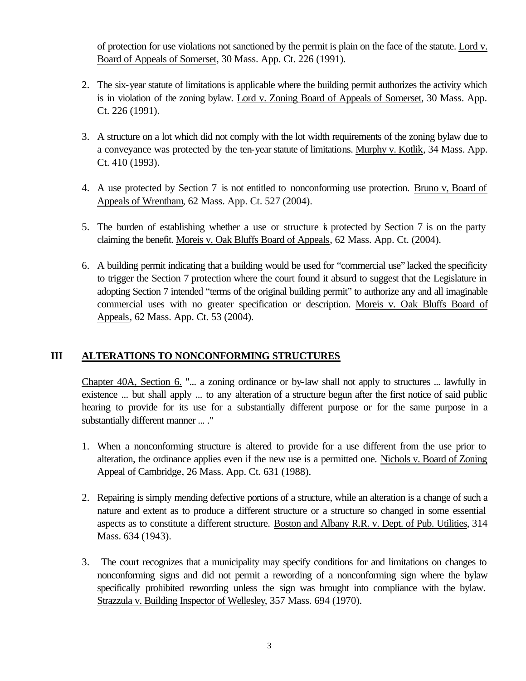of protection for use violations not sanctioned by the permit is plain on the face of the statute. Lord v. Board of Appeals of Somerset, 30 Mass. App. Ct. 226 (1991).

- 2. The six-year statute of limitations is applicable where the building permit authorizes the activity which is in violation of the zoning bylaw. Lord v. Zoning Board of Appeals of Somerset, 30 Mass. App. Ct. 226 (1991).
- 3. A structure on a lot which did not comply with the lot width requirements of the zoning bylaw due to a conveyance was protected by the ten-year statute of limitations. Murphy v. Kotlik, 34 Mass. App. Ct. 410 (1993).
- 4. A use protected by Section 7 is not entitled to nonconforming use protection. Bruno v, Board of Appeals of Wrentham, 62 Mass. App. Ct. 527 (2004).
- 5. The burden of establishing whether a use or structure is protected by Section 7 is on the party claiming the benefit. Moreis v. Oak Bluffs Board of Appeals, 62 Mass. App. Ct. (2004).
- 6. A building permit indicating that a building would be used for "commercial use" lacked the specificity to trigger the Section 7 protection where the court found it absurd to suggest that the Legislature in adopting Section 7 intended "terms of the original building permit" to authorize any and all imaginable commercial uses with no greater specification or description. Moreis v. Oak Bluffs Board of Appeals, 62 Mass. App. Ct. 53 (2004).

#### **III ALTERATIONS TO NONCONFORMING STRUCTURES**

Chapter 40A, Section 6. "... a zoning ordinance or by-law shall not apply to structures ... lawfully in existence ... but shall apply ... to any alteration of a structure begun after the first notice of said public hearing to provide for its use for a substantially different purpose or for the same purpose in a substantially different manner ... ."

- 1. When a nonconforming structure is altered to provide for a use different from the use prior to alteration, the ordinance applies even if the new use is a permitted one. Nichols v. Board of Zoning Appeal of Cambridge, 26 Mass. App. Ct. 631 (1988).
- 2. Repairing is simply mending defective portions of a structure, while an alteration is a change of such a nature and extent as to produce a different structure or a structure so changed in some essential aspects as to constitute a different structure. Boston and Albany R.R. v. Dept. of Pub. Utilities, 314 Mass. 634 (1943).
- 3. The court recognizes that a municipality may specify conditions for and limitations on changes to nonconforming signs and did not permit a rewording of a nonconforming sign where the bylaw specifically prohibited rewording unless the sign was brought into compliance with the bylaw. Strazzula v. Building Inspector of Wellesley, 357 Mass. 694 (1970).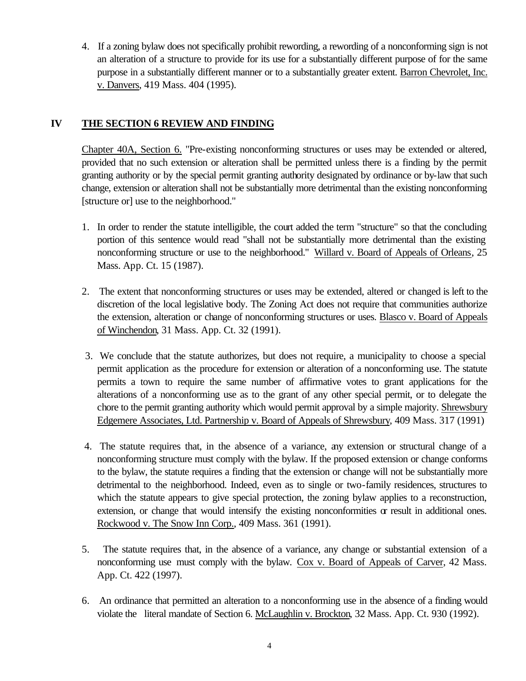4. If a zoning bylaw does not specifically prohibit rewording, a rewording of a nonconforming sign is not an alteration of a structure to provide for its use for a substantially different purpose of for the same purpose in a substantially different manner or to a substantially greater extent. Barron Chevrolet, Inc. v. Danvers, 419 Mass. 404 (1995).

#### **IV THE SECTION 6 REVIEW AND FINDING**

Chapter 40A, Section 6. "Pre-existing nonconforming structures or uses may be extended or altered, provided that no such extension or alteration shall be permitted unless there is a finding by the permit granting authority or by the special permit granting authority designated by ordinance or by-law that such change, extension or alteration shall not be substantially more detrimental than the existing nonconforming [structure or] use to the neighborhood."

- 1. In order to render the statute intelligible, the court added the term "structure" so that the concluding portion of this sentence would read "shall not be substantially more detrimental than the existing nonconforming structure or use to the neighborhood." Willard v. Board of Appeals of Orleans, 25 Mass. App. Ct. 15 (1987).
- 2. The extent that nonconforming structures or uses may be extended, altered or changed is left to the discretion of the local legislative body. The Zoning Act does not require that communities authorize the extension, alteration or change of nonconforming structures or uses. Blasco v. Board of Appeals of Winchendon, 31 Mass. App. Ct. 32 (1991).
- 3. We conclude that the statute authorizes, but does not require, a municipality to choose a special permit application as the procedure for extension or alteration of a nonconforming use. The statute permits a town to require the same number of affirmative votes to grant applications for the alterations of a nonconforming use as to the grant of any other special permit, or to delegate the chore to the permit granting authority which would permit approval by a simple majority. Shrewsbury Edgemere Associates, Ltd. Partnership v. Board of Appeals of Shrewsbury, 409 Mass. 317 (1991)
- 4. The statute requires that, in the absence of a variance, any extension or structural change of a nonconforming structure must comply with the bylaw. If the proposed extension or change conforms to the bylaw, the statute requires a finding that the extension or change will not be substantially more detrimental to the neighborhood. Indeed, even as to single or two-family residences, structures to which the statute appears to give special protection, the zoning bylaw applies to a reconstruction, extension, or change that would intensify the existing nonconformities  $\alpha$  result in additional ones. Rockwood v. The Snow Inn Corp., 409 Mass. 361 (1991).
- 5. The statute requires that, in the absence of a variance, any change or substantial extension of a nonconforming use must comply with the bylaw. Cox v. Board of Appeals of Carver, 42 Mass. App. Ct. 422 (1997).
- 6. An ordinance that permitted an alteration to a nonconforming use in the absence of a finding would violate the literal mandate of Section 6. McLaughlin v. Brockton, 32 Mass. App. Ct. 930 (1992).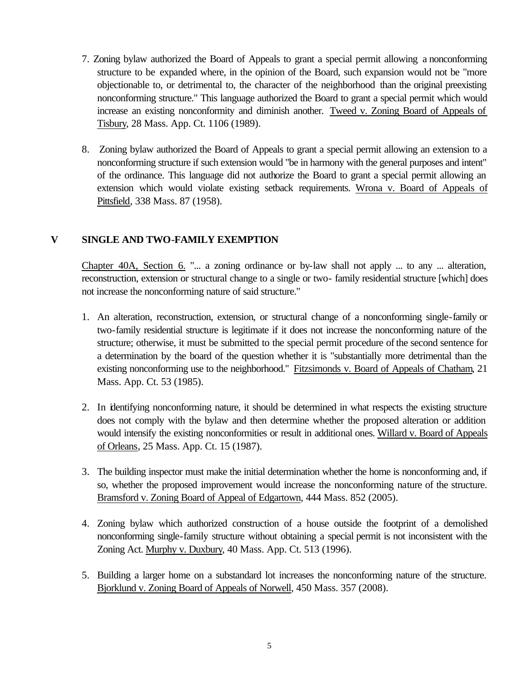- 7. Zoning bylaw authorized the Board of Appeals to grant a special permit allowing a nonconforming structure to be expanded where, in the opinion of the Board, such expansion would not be "more objectionable to, or detrimental to, the character of the neighborhood than the original preexisting nonconforming structure." This language authorized the Board to grant a special permit which would increase an existing nonconformity and diminish another. Tweed v. Zoning Board of Appeals of Tisbury, 28 Mass. App. Ct. 1106 (1989).
- 8. Zoning bylaw authorized the Board of Appeals to grant a special permit allowing an extension to a nonconforming structure if such extension would "be in harmony with the general purposes and intent" of the ordinance. This language did not authorize the Board to grant a special permit allowing an extension which would violate existing setback requirements. Wrona v. Board of Appeals of Pittsfield, 338 Mass. 87 (1958).

#### **V SINGLE AND TWO-FAMILY EXEMPTION**

Chapter 40A, Section 6. "... a zoning ordinance or by-law shall not apply ... to any ... alteration, reconstruction, extension or structural change to a single or two- family residential structure [which] does not increase the nonconforming nature of said structure."

- 1. An alteration, reconstruction, extension, or structural change of a nonconforming single-family or two-family residential structure is legitimate if it does not increase the nonconforming nature of the structure; otherwise, it must be submitted to the special permit procedure of the second sentence for a determination by the board of the question whether it is "substantially more detrimental than the existing nonconforming use to the neighborhood." Fitzsimonds v. Board of Appeals of Chatham, 21 Mass. App. Ct. 53 (1985).
- 2. In identifying nonconforming nature, it should be determined in what respects the existing structure does not comply with the bylaw and then determine whether the proposed alteration or addition would intensify the existing nonconformities or result in additional ones. Willard v. Board of Appeals of Orleans, 25 Mass. App. Ct. 15 (1987).
- 3. The building inspector must make the initial determination whether the home is nonconforming and, if so, whether the proposed improvement would increase the nonconforming nature of the structure. Bramsford v. Zoning Board of Appeal of Edgartown, 444 Mass. 852 (2005).
- 4. Zoning bylaw which authorized construction of a house outside the footprint of a demolished nonconforming single-family structure without obtaining a special permit is not inconsistent with the Zoning Act. Murphy v. Duxbury, 40 Mass. App. Ct. 513 (1996).
- 5. Building a larger home on a substandard lot increases the nonconforming nature of the structure. Bjorklund v. Zoning Board of Appeals of Norwell, 450 Mass. 357 (2008).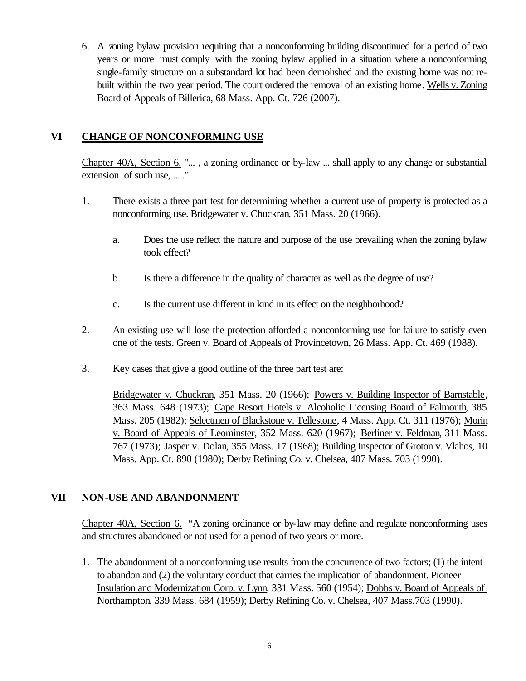6. A zoning bylaw provision requiring that a nonconforming building discontinued for a period of two years or more must comply with the zoning bylaw applied in a situation where a nonconforming single-family structure on a substandard lot had been demolished and the existing home was not rebuilt within the two year period. The court ordered the removal of an existing home. Wells v. Zoning Board of Appeals of Billerica, 68 Mass. App. Ct. 726 (2007).

### **VI CHANGE OF NONCONFORMING USE**

Chapter 40A, Section 6. "... , a zoning ordinance or by-law ... shall apply to any change or substantial extension of such use, ... ."

- 1. There exists a three part test for determining whether a current use of property is protected as a nonconforming use. Bridgewater v. Chuckran, 351 Mass. 20 (1966).
	- a. Does the use reflect the nature and purpose of the use prevailing when the zoning bylaw took effect?
	- b. Is there a difference in the quality of character as well as the degree of use?
	- c. Is the current use different in kind in its effect on the neighborhood?
- 2. An existing use will lose the protection afforded a nonconforming use for failure to satisfy even one of the tests. Green v. Board of Appeals of Provincetown, 26 Mass. App. Ct. 469 (1988).
- 3. Key cases that give a good outline of the three part test are:

Bridgewater v. Chuckran, 351 Mass. 20 (1966); Powers v. Building Inspector of Barnstable, 363 Mass. 648 (1973); Cape Resort Hotels v. Alcoholic Licensing Board of Falmouth, 385 Mass. 205 (1982); Selectmen of Blackstone v. Tellestone, 4 Mass. App. Ct. 311 (1976); Morin v. Board of Appeals of Leominster, 352 Mass. 620 (1967); Berliner v. Feldman, 311 Mass. 767 (1973); Jasper v. Dolan, 355 Mass. 17 (1968); Building Inspector of Groton v. Vlahos, 10 Mass. App. Ct. 890 (1980); Derby Refining Co. v. Chelsea, 407 Mass. 703 (1990).

#### **VII NON-USE AND ABANDONMENT**

Chapter 40A, Section 6. "A zoning ordinance or by-law may define and regulate nonconforming uses and structures abandoned or not used for a period of two years or more.

1. The abandonment of a nonconforming use results from the concurrence of two factors; (1) the intent to abandon and (2) the voluntary conduct that carries the implication of abandonment. Pioneer Insulation and Modernization Corp. v. Lynn, 331 Mass. 560 (1954); Dobbs v. Board of Appeals of Northampton, 339 Mass. 684 (1959); Derby Refining Co. v. Chelsea, 407 Mass.703 (1990).